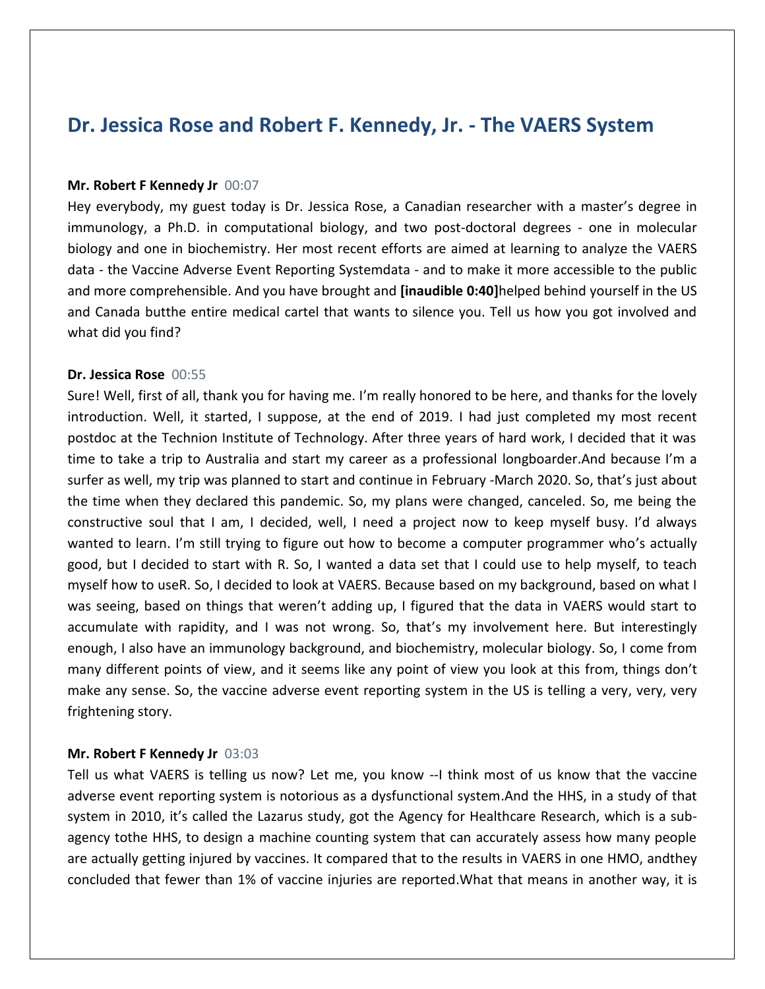# **Dr. Jessica Rose and Robert F. Kennedy, Jr. - The VAERS System**

## **Mr. Robert F Kennedy Jr** 00:07

Hey everybody, my guest today is Dr. Jessica Rose, a Canadian researcher with a master's degree in immunology, a Ph.D. in computational biology, and two post-doctoral degrees - one in molecular biology and one in biochemistry. Her most recent efforts are aimed at learning to analyze the VAERS data - the Vaccine Adverse Event Reporting Systemdata - and to make it more accessible to the public and more comprehensible. And you have brought and **[inaudible 0:40]**helped behind yourself in the US and Canada butthe entire medical cartel that wants to silence you. Tell us how you got involved and what did you find?

## **Dr. Jessica Rose** 00:55

Sure! Well, first of all, thank you for having me. I'm really honored to be here, and thanks for the lovely introduction. Well, it started, I suppose, at the end of 2019. I had just completed my most recent postdoc at the Technion Institute of Technology. After three years of hard work, I decided that it was time to take a trip to Australia and start my career as a professional longboarder.And because I'm a surfer as well, my trip was planned to start and continue in February -March 2020. So, that's just about the time when they declared this pandemic. So, my plans were changed, canceled. So, me being the constructive soul that I am, I decided, well, I need a project now to keep myself busy. I'd always wanted to learn. I'm still trying to figure out how to become a computer programmer who's actually good, but I decided to start with R. So, I wanted a data set that I could use to help myself, to teach myself how to useR. So, I decided to look at VAERS. Because based on my background, based on what I was seeing, based on things that weren't adding up, I figured that the data in VAERS would start to accumulate with rapidity, and I was not wrong. So, that's my involvement here. But interestingly enough, I also have an immunology background, and biochemistry, molecular biology. So, I come from many different points of view, and it seems like any point of view you look at this from, things don't make any sense. So, the vaccine adverse event reporting system in the US is telling a very, very, very frightening story.

#### **Mr. Robert F Kennedy Jr** 03:03

Tell us what VAERS is telling us now? Let me, you know --I think most of us know that the vaccine adverse event reporting system is notorious as a dysfunctional system.And the HHS, in a study of that system in 2010, it's called the Lazarus study, got the Agency for Healthcare Research, which is a subagency tothe HHS, to design a machine counting system that can accurately assess how many people are actually getting injured by vaccines. It compared that to the results in VAERS in one HMO, andthey concluded that fewer than 1% of vaccine injuries are reported.What that means in another way, it is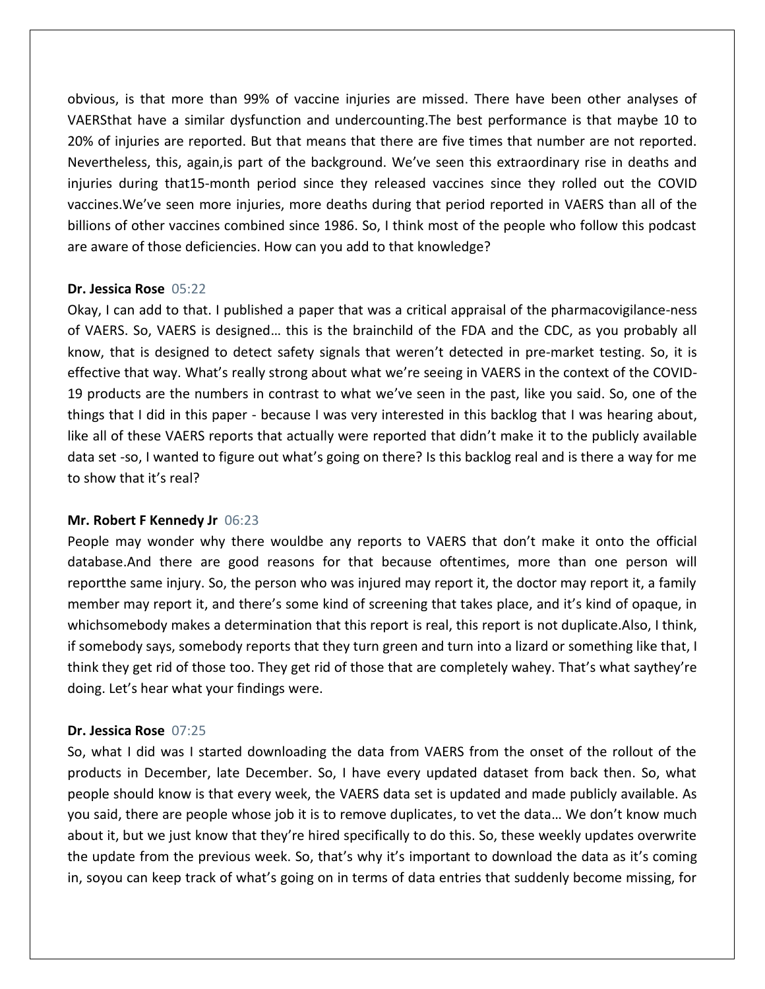obvious, is that more than 99% of vaccine injuries are missed. There have been other analyses of VAERSthat have a similar dysfunction and undercounting.The best performance is that maybe 10 to 20% of injuries are reported. But that means that there are five times that number are not reported. Nevertheless, this, again,is part of the background. We've seen this extraordinary rise in deaths and injuries during that15-month period since they released vaccines since they rolled out the COVID vaccines.We've seen more injuries, more deaths during that period reported in VAERS than all of the billions of other vaccines combined since 1986. So, I think most of the people who follow this podcast are aware of those deficiencies. How can you add to that knowledge?

## **Dr. Jessica Rose** 05:22

Okay, I can add to that. I published a paper that was a critical appraisal of the pharmacovigilance-ness of VAERS. So, VAERS is designed… this is the brainchild of the FDA and the CDC, as you probably all know, that is designed to detect safety signals that weren't detected in pre-market testing. So, it is effective that way. What's really strong about what we're seeing in VAERS in the context of the COVID-19 products are the numbers in contrast to what we've seen in the past, like you said. So, one of the things that I did in this paper - because I was very interested in this backlog that I was hearing about, like all of these VAERS reports that actually were reported that didn't make it to the publicly available data set -so, I wanted to figure out what's going on there? Is this backlog real and is there a way for me to show that it's real?

## **Mr. Robert F Kennedy Jr** 06:23

People may wonder why there wouldbe any reports to VAERS that don't make it onto the official database.And there are good reasons for that because oftentimes, more than one person will reportthe same injury. So, the person who was injured may report it, the doctor may report it, a family member may report it, and there's some kind of screening that takes place, and it's kind of opaque, in whichsomebody makes a determination that this report is real, this report is not duplicate.Also, I think, if somebody says, somebody reports that they turn green and turn into a lizard or something like that, I think they get rid of those too. They get rid of those that are completely wahey. That's what saythey're doing. Let's hear what your findings were.

## **Dr. Jessica Rose** 07:25

So, what I did was I started downloading the data from VAERS from the onset of the rollout of the products in December, late December. So, I have every updated dataset from back then. So, what people should know is that every week, the VAERS data set is updated and made publicly available. As you said, there are people whose job it is to remove duplicates, to vet the data… We don't know much about it, but we just know that they're hired specifically to do this. So, these weekly updates overwrite the update from the previous week. So, that's why it's important to download the data as it's coming in, soyou can keep track of what's going on in terms of data entries that suddenly become missing, for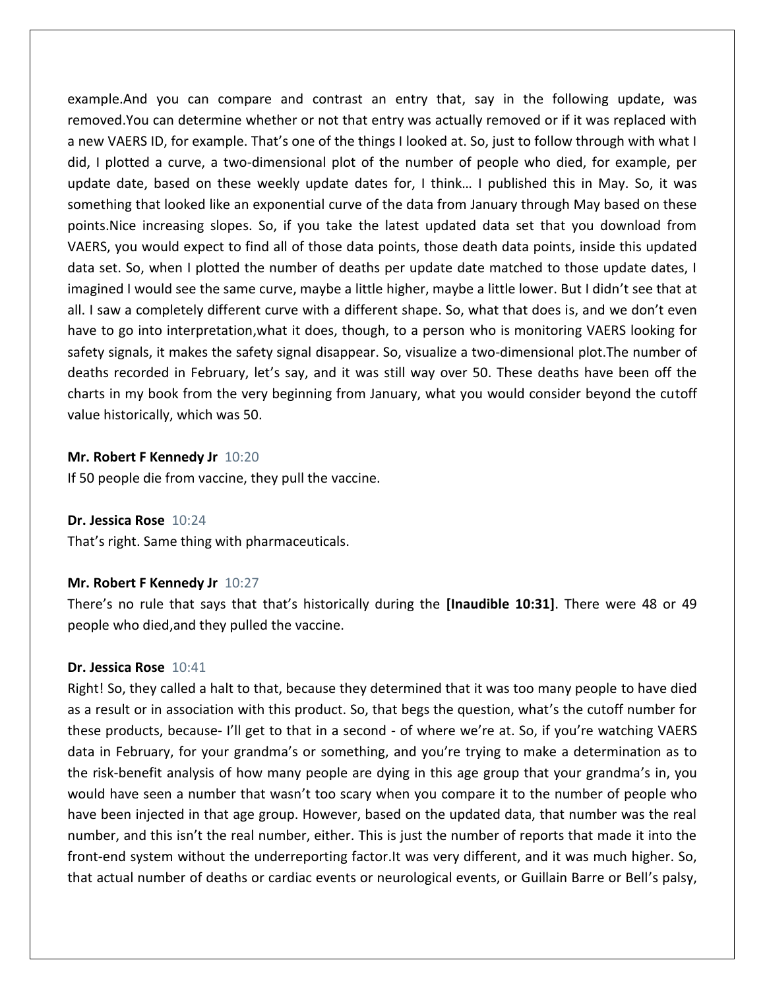example.And you can compare and contrast an entry that, say in the following update, was removed.You can determine whether or not that entry was actually removed or if it was replaced with a new VAERS ID, for example. That's one of the things I looked at. So, just to follow through with what I did, I plotted a curve, a two-dimensional plot of the number of people who died, for example, per update date, based on these weekly update dates for, I think… I published this in May. So, it was something that looked like an exponential curve of the data from January through May based on these points.Nice increasing slopes. So, if you take the latest updated data set that you download from VAERS, you would expect to find all of those data points, those death data points, inside this updated data set. So, when I plotted the number of deaths per update date matched to those update dates, I imagined I would see the same curve, maybe a little higher, maybe a little lower. But I didn't see that at all. I saw a completely different curve with a different shape. So, what that does is, and we don't even have to go into interpretation,what it does, though, to a person who is monitoring VAERS looking for safety signals, it makes the safety signal disappear. So, visualize a two-dimensional plot.The number of deaths recorded in February, let's say, and it was still way over 50. These deaths have been off the charts in my book from the very beginning from January, what you would consider beyond the cutoff value historically, which was 50.

#### **Mr. Robert F Kennedy Jr** 10:20

If 50 people die from vaccine, they pull the vaccine.

#### **Dr. Jessica Rose** 10:24

That's right. Same thing with pharmaceuticals.

#### **Mr. Robert F Kennedy Jr** 10:27

There's no rule that says that that's historically during the **[Inaudible 10:31]**. There were 48 or 49 people who died,and they pulled the vaccine.

#### **Dr. Jessica Rose** 10:41

Right! So, they called a halt to that, because they determined that it was too many people to have died as a result or in association with this product. So, that begs the question, what's the cutoff number for these products, because- I'll get to that in a second - of where we're at. So, if you're watching VAERS data in February, for your grandma's or something, and you're trying to make a determination as to the risk-benefit analysis of how many people are dying in this age group that your grandma's in, you would have seen a number that wasn't too scary when you compare it to the number of people who have been injected in that age group. However, based on the updated data, that number was the real number, and this isn't the real number, either. This is just the number of reports that made it into the front-end system without the underreporting factor.It was very different, and it was much higher. So, that actual number of deaths or cardiac events or neurological events, or Guillain Barre or Bell's palsy,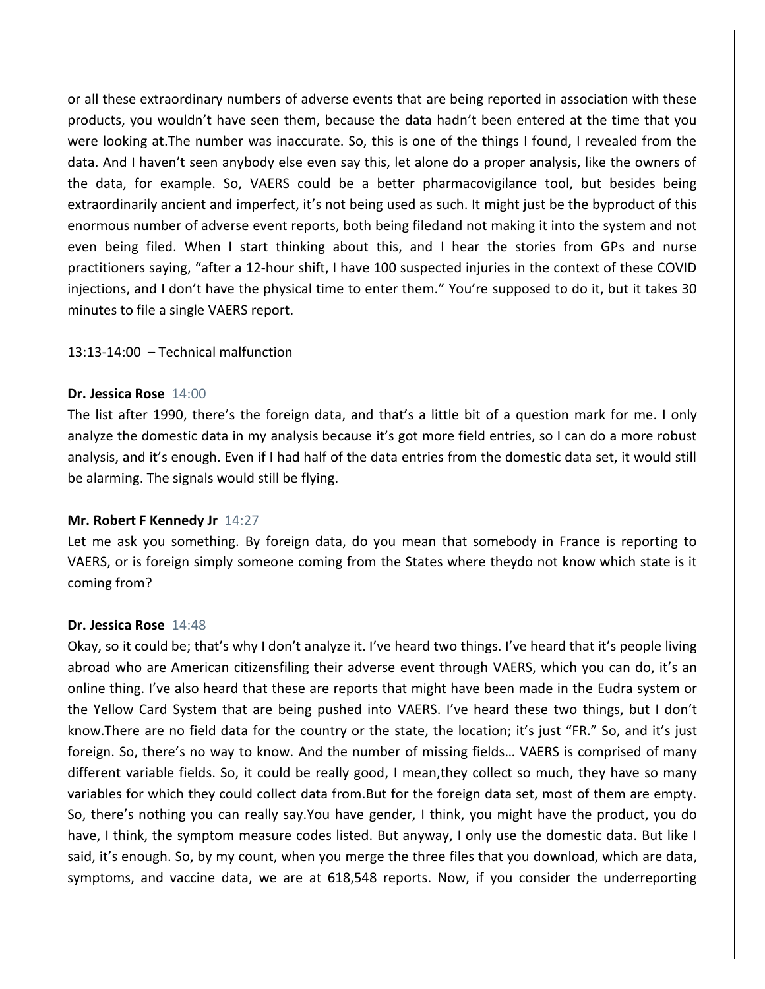or all these extraordinary numbers of adverse events that are being reported in association with these products, you wouldn't have seen them, because the data hadn't been entered at the time that you were looking at.The number was inaccurate. So, this is one of the things I found, I revealed from the data. And I haven't seen anybody else even say this, let alone do a proper analysis, like the owners of the data, for example. So, VAERS could be a better pharmacovigilance tool, but besides being extraordinarily ancient and imperfect, it's not being used as such. It might just be the byproduct of this enormous number of adverse event reports, both being filedand not making it into the system and not even being filed. When I start thinking about this, and I hear the stories from GPs and nurse practitioners saying, "after a 12-hour shift, I have 100 suspected injuries in the context of these COVID injections, and I don't have the physical time to enter them." You're supposed to do it, but it takes 30 minutes to file a single VAERS report.

13:13-14:00 – Technical malfunction

## **Dr. Jessica Rose** 14:00

The list after 1990, there's the foreign data, and that's a little bit of a question mark for me. I only analyze the domestic data in my analysis because it's got more field entries, so I can do a more robust analysis, and it's enough. Even if I had half of the data entries from the domestic data set, it would still be alarming. The signals would still be flying.

## **Mr. Robert F Kennedy Jr** 14:27

Let me ask you something. By foreign data, do you mean that somebody in France is reporting to VAERS, or is foreign simply someone coming from the States where theydo not know which state is it coming from?

#### **Dr. Jessica Rose** 14:48

Okay, so it could be; that's why I don't analyze it. I've heard two things. I've heard that it's people living abroad who are American citizensfiling their adverse event through VAERS, which you can do, it's an online thing. I've also heard that these are reports that might have been made in the Eudra system or the Yellow Card System that are being pushed into VAERS. I've heard these two things, but I don't know.There are no field data for the country or the state, the location; it's just "FR." So, and it's just foreign. So, there's no way to know. And the number of missing fields… VAERS is comprised of many different variable fields. So, it could be really good, I mean,they collect so much, they have so many variables for which they could collect data from.But for the foreign data set, most of them are empty. So, there's nothing you can really say.You have gender, I think, you might have the product, you do have, I think, the symptom measure codes listed. But anyway, I only use the domestic data. But like I said, it's enough. So, by my count, when you merge the three files that you download, which are data, symptoms, and vaccine data, we are at 618,548 reports. Now, if you consider the underreporting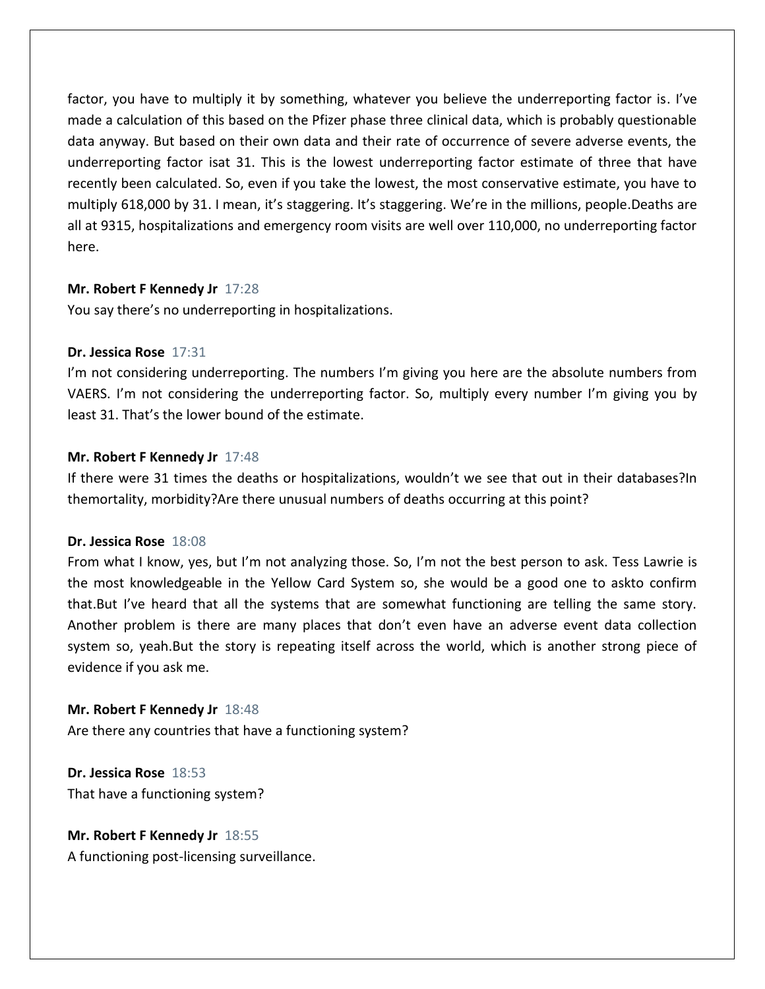factor, you have to multiply it by something, whatever you believe the underreporting factor is. I've made a calculation of this based on the Pfizer phase three clinical data, which is probably questionable data anyway. But based on their own data and their rate of occurrence of severe adverse events, the underreporting factor isat 31. This is the lowest underreporting factor estimate of three that have recently been calculated. So, even if you take the lowest, the most conservative estimate, you have to multiply 618,000 by 31. I mean, it's staggering. It's staggering. We're in the millions, people.Deaths are all at 9315, hospitalizations and emergency room visits are well over 110,000, no underreporting factor here.

## **Mr. Robert F Kennedy Jr** 17:28

You say there's no underreporting in hospitalizations.

## **Dr. Jessica Rose** 17:31

I'm not considering underreporting. The numbers I'm giving you here are the absolute numbers from VAERS. I'm not considering the underreporting factor. So, multiply every number I'm giving you by least 31. That's the lower bound of the estimate.

## **Mr. Robert F Kennedy Jr** 17:48

If there were 31 times the deaths or hospitalizations, wouldn't we see that out in their databases?In themortality, morbidity?Are there unusual numbers of deaths occurring at this point?

## **Dr. Jessica Rose** 18:08

From what I know, yes, but I'm not analyzing those. So, I'm not the best person to ask. Tess Lawrie is the most knowledgeable in the Yellow Card System so, she would be a good one to askto confirm that.But I've heard that all the systems that are somewhat functioning are telling the same story. Another problem is there are many places that don't even have an adverse event data collection system so, yeah.But the story is repeating itself across the world, which is another strong piece of evidence if you ask me.

**Mr. Robert F Kennedy Jr** 18:48 Are there any countries that have a functioning system?

**Dr. Jessica Rose** 18:53 That have a functioning system?

**Mr. Robert F Kennedy Jr** 18:55 A functioning post-licensing surveillance.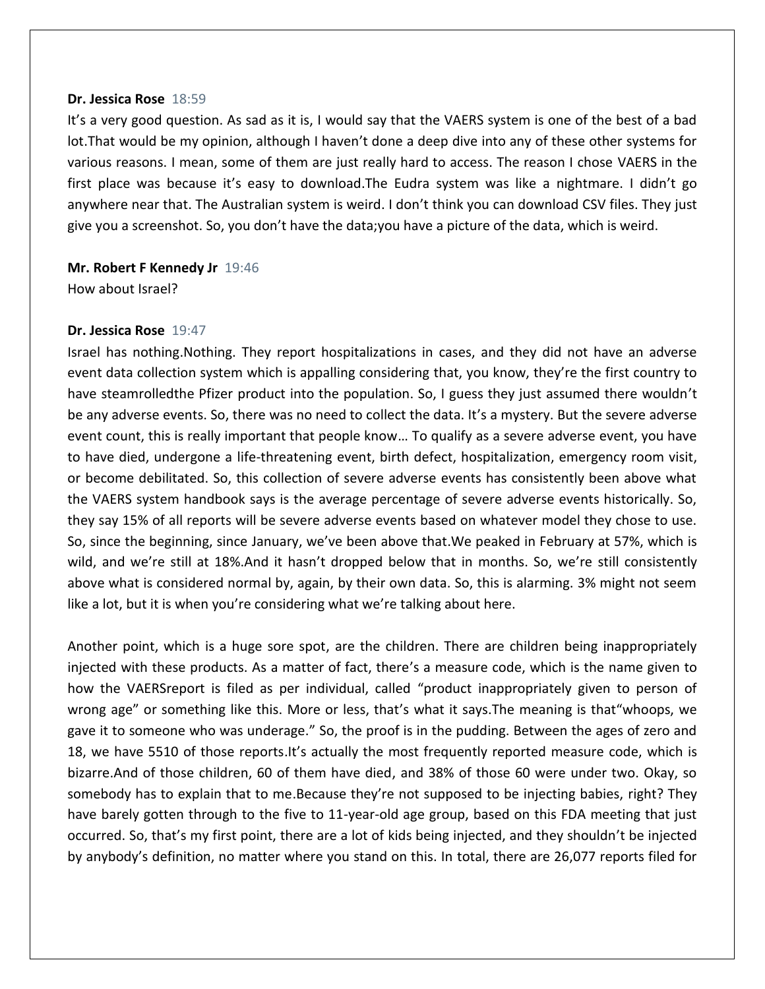#### **Dr. Jessica Rose** 18:59

It's a very good question. As sad as it is, I would say that the VAERS system is one of the best of a bad lot.That would be my opinion, although I haven't done a deep dive into any of these other systems for various reasons. I mean, some of them are just really hard to access. The reason I chose VAERS in the first place was because it's easy to download.The Eudra system was like a nightmare. I didn't go anywhere near that. The Australian system is weird. I don't think you can download CSV files. They just give you a screenshot. So, you don't have the data;you have a picture of the data, which is weird.

**Mr. Robert F Kennedy Jr** 19:46 How about Israel?

#### **Dr. Jessica Rose** 19:47

Israel has nothing.Nothing. They report hospitalizations in cases, and they did not have an adverse event data collection system which is appalling considering that, you know, they're the first country to have steamrolledthe Pfizer product into the population. So, I guess they just assumed there wouldn't be any adverse events. So, there was no need to collect the data. It's a mystery. But the severe adverse event count, this is really important that people know… To qualify as a severe adverse event, you have to have died, undergone a life-threatening event, birth defect, hospitalization, emergency room visit, or become debilitated. So, this collection of severe adverse events has consistently been above what the VAERS system handbook says is the average percentage of severe adverse events historically. So, they say 15% of all reports will be severe adverse events based on whatever model they chose to use. So, since the beginning, since January, we've been above that.We peaked in February at 57%, which is wild, and we're still at 18%. And it hasn't dropped below that in months. So, we're still consistently above what is considered normal by, again, by their own data. So, this is alarming. 3% might not seem like a lot, but it is when you're considering what we're talking about here.

Another point, which is a huge sore spot, are the children. There are children being inappropriately injected with these products. As a matter of fact, there's a measure code, which is the name given to how the VAERSreport is filed as per individual, called "product inappropriately given to person of wrong age" or something like this. More or less, that's what it says.The meaning is that"whoops, we gave it to someone who was underage." So, the proof is in the pudding. Between the ages of zero and 18, we have 5510 of those reports.It's actually the most frequently reported measure code, which is bizarre.And of those children, 60 of them have died, and 38% of those 60 were under two. Okay, so somebody has to explain that to me.Because they're not supposed to be injecting babies, right? They have barely gotten through to the five to 11-year-old age group, based on this FDA meeting that just occurred. So, that's my first point, there are a lot of kids being injected, and they shouldn't be injected by anybody's definition, no matter where you stand on this. In total, there are 26,077 reports filed for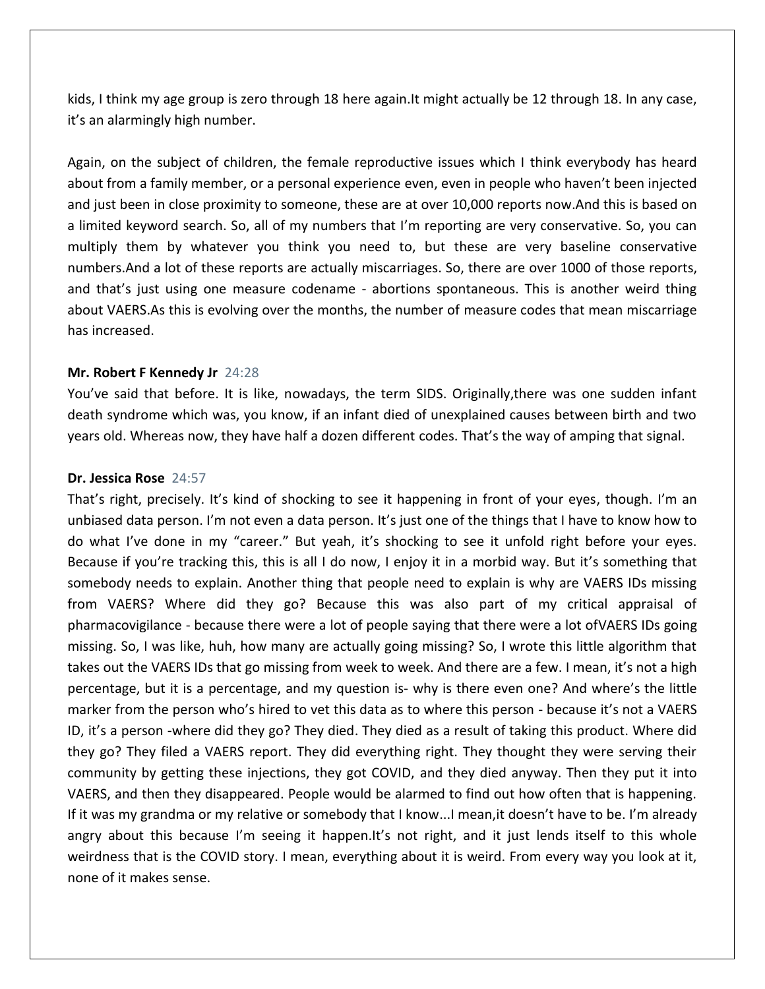kids, I think my age group is zero through 18 here again.It might actually be 12 through 18. In any case, it's an alarmingly high number.

Again, on the subject of children, the female reproductive issues which I think everybody has heard about from a family member, or a personal experience even, even in people who haven't been injected and just been in close proximity to someone, these are at over 10,000 reports now.And this is based on a limited keyword search. So, all of my numbers that I'm reporting are very conservative. So, you can multiply them by whatever you think you need to, but these are very baseline conservative numbers.And a lot of these reports are actually miscarriages. So, there are over 1000 of those reports, and that's just using one measure codename - abortions spontaneous. This is another weird thing about VAERS.As this is evolving over the months, the number of measure codes that mean miscarriage has increased.

#### **Mr. Robert F Kennedy Jr** 24:28

You've said that before. It is like, nowadays, the term SIDS. Originally,there was one sudden infant death syndrome which was, you know, if an infant died of unexplained causes between birth and two years old. Whereas now, they have half a dozen different codes. That's the way of amping that signal.

#### **Dr. Jessica Rose** 24:57

That's right, precisely. It's kind of shocking to see it happening in front of your eyes, though. I'm an unbiased data person. I'm not even a data person. It's just one of the things that I have to know how to do what I've done in my "career." But yeah, it's shocking to see it unfold right before your eyes. Because if you're tracking this, this is all I do now, I enjoy it in a morbid way. But it's something that somebody needs to explain. Another thing that people need to explain is why are VAERS IDs missing from VAERS? Where did they go? Because this was also part of my critical appraisal of pharmacovigilance - because there were a lot of people saying that there were a lot ofVAERS IDs going missing. So, I was like, huh, how many are actually going missing? So, I wrote this little algorithm that takes out the VAERS IDs that go missing from week to week. And there are a few. I mean, it's not a high percentage, but it is a percentage, and my question is- why is there even one? And where's the little marker from the person who's hired to vet this data as to where this person - because it's not a VAERS ID, it's a person -where did they go? They died. They died as a result of taking this product. Where did they go? They filed a VAERS report. They did everything right. They thought they were serving their community by getting these injections, they got COVID, and they died anyway. Then they put it into VAERS, and then they disappeared. People would be alarmed to find out how often that is happening. If it was my grandma or my relative or somebody that I know...I mean,it doesn't have to be. I'm already angry about this because I'm seeing it happen.It's not right, and it just lends itself to this whole weirdness that is the COVID story. I mean, everything about it is weird. From every way you look at it, none of it makes sense.